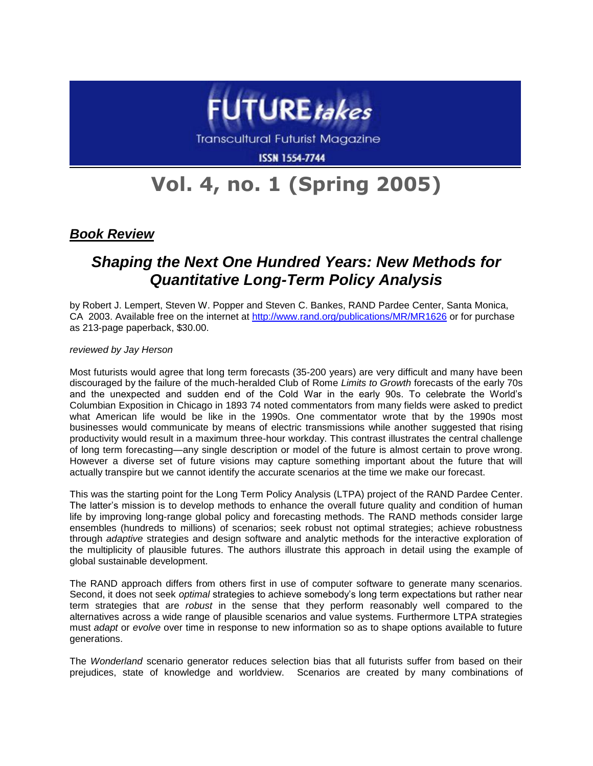

**Transcultural Futurist Magazine** 

**ISSN 1554-7744** 

## **Vol. 4, no. 1 (Spring 2005)**

*Book Review*

## *Shaping the Next One Hundred Years: New Methods for Quantitative Long-Term Policy Analysis*

by Robert J. Lempert, Steven W. Popper and Steven C. Bankes, RAND Pardee Center, Santa Monica, CA 2003. Available free on the internet at<http://www.rand.org/publications/MR/MR1626> or for purchase as 213-page paperback, \$30.00.

*reviewed by Jay Herson*

Most futurists would agree that long term forecasts (35-200 years) are very difficult and many have been discouraged by the failure of the much-heralded Club of Rome *Limits to Growth* forecasts of the early 70s and the unexpected and sudden end of the Cold War in the early 90s. To celebrate the World's Columbian Exposition in Chicago in 1893 74 noted commentators from many fields were asked to predict what American life would be like in the 1990s. One commentator wrote that by the 1990s most businesses would communicate by means of electric transmissions while another suggested that rising productivity would result in a maximum three-hour workday. This contrast illustrates the central challenge of long term forecasting—any single description or model of the future is almost certain to prove wrong. However a diverse set of future visions may capture something important about the future that will actually transpire but we cannot identify the accurate scenarios at the time we make our forecast.

This was the starting point for the Long Term Policy Analysis (LTPA) project of the RAND Pardee Center. The latter's mission is to develop methods to enhance the overall future quality and condition of human life by improving long-range global policy and forecasting methods. The RAND methods consider large ensembles (hundreds to millions) of scenarios; seek robust not optimal strategies; achieve robustness through *adaptive* strategies and design software and analytic methods for the interactive exploration of the multiplicity of plausible futures. The authors illustrate this approach in detail using the example of global sustainable development.

The RAND approach differs from others first in use of computer software to generate many scenarios. Second, it does not seek *optimal* strategies to achieve somebody's long term expectations but rather near term strategies that are *robust* in the sense that they perform reasonably well compared to the alternatives across a wide range of plausible scenarios and value systems. Furthermore LTPA strategies must *adapt* or *evolve* over time in response to new information so as to shape options available to future generations.

The *Wonderland* scenario generator reduces selection bias that all futurists suffer from based on their prejudices, state of knowledge and worldview. Scenarios are created by many combinations of